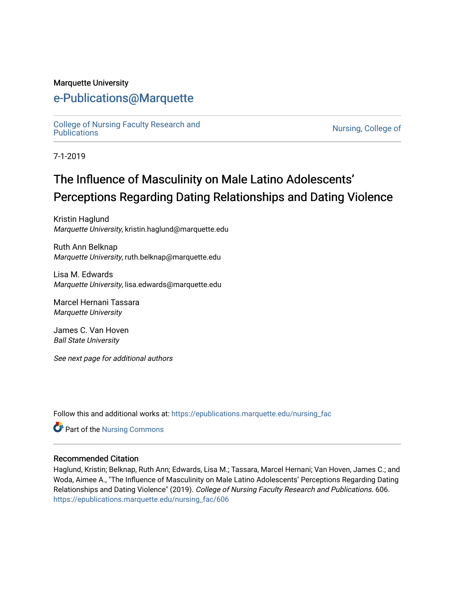#### Marquette University

# [e-Publications@Marquette](https://epublications.marquette.edu/)

[College of Nursing Faculty Research and](https://epublications.marquette.edu/nursing_fac)<br>Publications

Nursing, College of

7-1-2019

# The Influence of Masculinity on Male Latino Adolescents' Perceptions Regarding Dating Relationships and Dating Violence

Kristin Haglund Marquette University, kristin.haglund@marquette.edu

Ruth Ann Belknap Marquette University, ruth.belknap@marquette.edu

Lisa M. Edwards Marquette University, lisa.edwards@marquette.edu

Marcel Hernani Tassara Marquette University

James C. Van Hoven Ball State University

See next page for additional authors

Follow this and additional works at: [https://epublications.marquette.edu/nursing\\_fac](https://epublications.marquette.edu/nursing_fac?utm_source=epublications.marquette.edu%2Fnursing_fac%2F606&utm_medium=PDF&utm_campaign=PDFCoverPages)

Part of the [Nursing Commons](http://network.bepress.com/hgg/discipline/718?utm_source=epublications.marquette.edu%2Fnursing_fac%2F606&utm_medium=PDF&utm_campaign=PDFCoverPages) 

#### Recommended Citation

Haglund, Kristin; Belknap, Ruth Ann; Edwards, Lisa M.; Tassara, Marcel Hernani; Van Hoven, James C.; and Woda, Aimee A., "The Influence of Masculinity on Male Latino Adolescents' Perceptions Regarding Dating Relationships and Dating Violence" (2019). College of Nursing Faculty Research and Publications. 606. [https://epublications.marquette.edu/nursing\\_fac/606](https://epublications.marquette.edu/nursing_fac/606?utm_source=epublications.marquette.edu%2Fnursing_fac%2F606&utm_medium=PDF&utm_campaign=PDFCoverPages)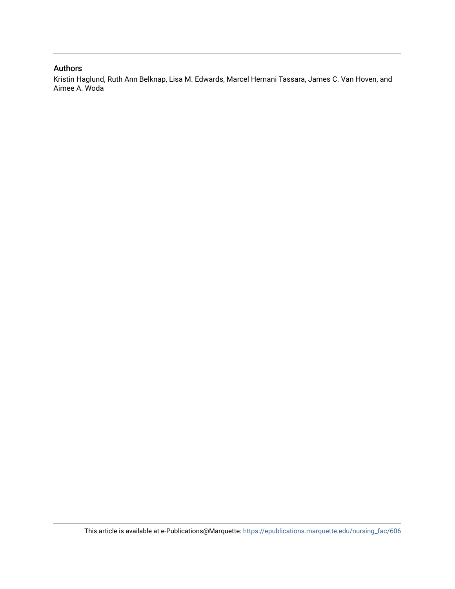#### Authors

Kristin Haglund, Ruth Ann Belknap, Lisa M. Edwards, Marcel Hernani Tassara, James C. Van Hoven, and Aimee A. Woda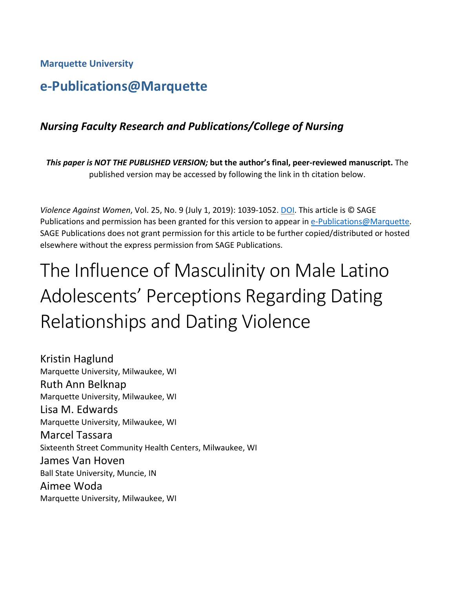**Marquette University**

# **e-Publications@Marquette**

# *Nursing Faculty Research and Publications/College of Nursing*

*This paper is NOT THE PUBLISHED VERSION;* **but the author's final, peer-reviewed manuscript.** The published version may be accessed by following the link in th citation below.

*Violence Against Women*, Vol. 25, No. 9 (July 1, 2019): 1039-1052. [DOI.](https://doi.org/10.1177%2F1077801218808395) This article is © SAGE Publications and permission has been granted for this version to appear in [e-Publications@Marquette.](http://epublications.marquette.edu/) SAGE Publications does not grant permission for this article to be further copied/distributed or hosted elsewhere without the express permission from SAGE Publications.

# The Influence of Masculinity on Male Latino Adolescents' Perceptions Regarding Dating Relationships and Dating Violence

Kristin Haglund Marquette University, Milwaukee, WI Ruth Ann Belknap Marquette University, Milwaukee, WI Lisa M. Edwards Marquette University, Milwaukee, WI Marcel Tassara Sixteenth Street Community Health Centers, Milwaukee, WI James Van Hoven Ball State University, Muncie, IN Aimee Woda Marquette University, Milwaukee, WI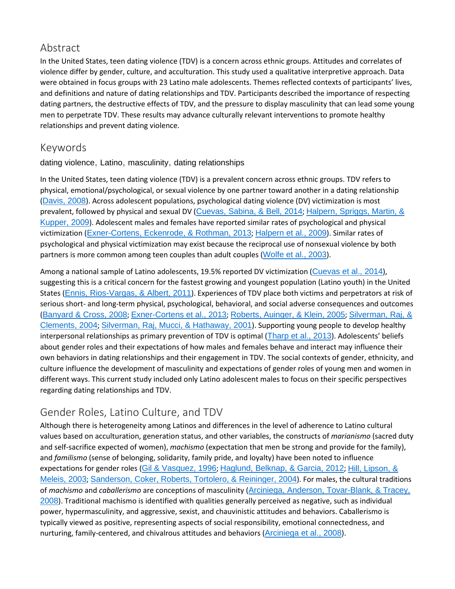# Abstract

In the United States, teen dating violence (TDV) is a concern across ethnic groups. Attitudes and correlates of violence differ by gender, culture, and acculturation. This study used a qualitative interpretive approach. Data were obtained in focus groups with 23 Latino male adolescents. Themes reflected contexts of participants' lives, and definitions and nature of dating relationships and TDV. Participants described the importance of respecting dating partners, the destructive effects of TDV, and the pressure to display masculinity that can lead some young men to perpetrate TDV. These results may advance culturally relevant interventions to promote healthy relationships and prevent dating violence.

## Keywords

dating violence, Latino, masculinity, dating relationships

In the United States, teen dating violence (TDV) is a prevalent concern across ethnic groups. TDV refers to physical, emotional/psychological, or sexual violence by one partner toward another in a dating relationship ([Davis, 2008](https://journals.sagepub.com/doi/10.1177/1077801218808395)). Across adolescent populations, psychological dating violence (DV) victimization is most prevalent, followed by physical and sexual DV ([Cuevas, Sabina, & Bell, 2014](https://journals.sagepub.com/doi/10.1177/1077801218808395); [Halpern, Spriggs, Martin, &](https://journals.sagepub.com/doi/10.1177/1077801218808395)  [Kupper, 2009](https://journals.sagepub.com/doi/10.1177/1077801218808395)). Adolescent males and females have reported similar rates of psychological and physical victimization ([Exner-Cortens, Eckenrode, & Rothman, 2013](https://journals.sagepub.com/doi/10.1177/1077801218808395); [Halpern et al., 2009](https://journals.sagepub.com/doi/10.1177/1077801218808395)). Similar rates of psychological and physical victimization may exist because the reciprocal use of nonsexual violence by both partners is more common among teen couples than adult couples ([Wolfe et al., 2003](https://journals.sagepub.com/doi/10.1177/1077801218808395)).

Among a national sample of Latino adolescents, 19.5% reported DV victimization ([Cuevas et al., 2014](https://journals.sagepub.com/doi/10.1177/1077801218808395)), suggesting this is a critical concern for the fastest growing and youngest population (Latino youth) in the United States ([Ennis, Rios-Vargas, & Albert, 2011](https://journals.sagepub.com/doi/10.1177/1077801218808395)). Experiences of TDV place both victims and perpetrators at risk of serious short- and long-term physical, psychological, behavioral, and social adverse consequences and outcomes ([Banyard & Cross, 2008](https://journals.sagepub.com/doi/10.1177/1077801218808395); [Exner-Cortens et al., 2013](https://journals.sagepub.com/doi/10.1177/1077801218808395); [Roberts, Auinger, & Klein, 2005](https://journals.sagepub.com/doi/10.1177/1077801218808395); [Silverman, Raj, &](https://journals.sagepub.com/doi/10.1177/1077801218808395)  [Clements, 2004](https://journals.sagepub.com/doi/10.1177/1077801218808395); [Silverman, Raj, Mucci, & Hathaway, 2001](https://journals.sagepub.com/doi/10.1177/1077801218808395)). Supporting young people to develop healthy interpersonal relationships as primary prevention of TDV is optimal ([Tharp et al., 2013](https://journals.sagepub.com/doi/10.1177/1077801218808395)). Adolescents' beliefs about gender roles and their expectations of how males and females behave and interact may influence their own behaviors in dating relationships and their engagement in TDV. The social contexts of gender, ethnicity, and culture influence the development of masculinity and expectations of gender roles of young men and women in different ways. This current study included only Latino adolescent males to focus on their specific perspectives regarding dating relationships and TDV.

# Gender Roles, Latino Culture, and TDV

Although there is heterogeneity among Latinos and differences in the level of adherence to Latino cultural values based on acculturation, generation status, and other variables, the constructs of *marianismo* (sacred duty and self-sacrifice expected of women), *machismo* (expectation that men be strong and provide for the family), and *familismo* (sense of belonging, solidarity, family pride, and loyalty) have been noted to influence expectations for gender roles ([Gil & Vasquez, 1996](https://journals.sagepub.com/doi/10.1177/1077801218808395); [Haglund, Belknap, & Garcia, 2012](https://journals.sagepub.com/doi/10.1177/1077801218808395); [Hill, Lipson, &](https://journals.sagepub.com/doi/10.1177/1077801218808395)  [Meleis, 2003](https://journals.sagepub.com/doi/10.1177/1077801218808395); [Sanderson, Coker, Roberts, Tortolero, & Reininger, 2004](https://journals.sagepub.com/doi/10.1177/1077801218808395)). For males, the cultural traditions of *machismo* and *caballerismo* are conceptions of masculinity ([Arciniega, Anderson, Tovar-Blank, & Tracey,](https://journals.sagepub.com/doi/10.1177/1077801218808395)  [2008](https://journals.sagepub.com/doi/10.1177/1077801218808395)). Traditional machismo is identified with qualities generally perceived as negative, such as individual power, hypermasculinity, and aggressive, sexist, and chauvinistic attitudes and behaviors. Caballerismo is typically viewed as positive, representing aspects of social responsibility, emotional connectedness, and nurturing, family-centered, and chivalrous attitudes and behaviors ([Arciniega et al., 2008](https://journals.sagepub.com/doi/10.1177/1077801218808395)).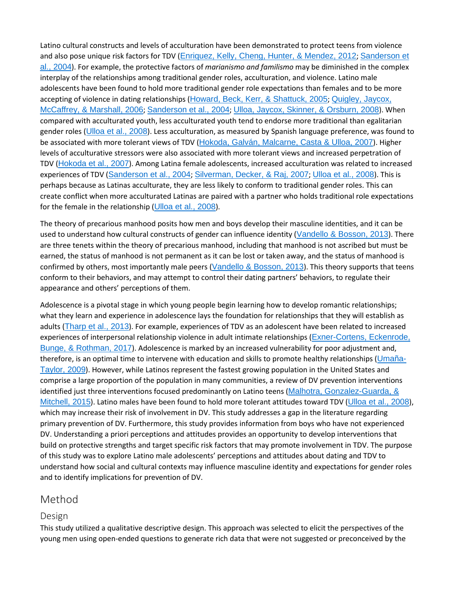Latino cultural constructs and levels of acculturation have been demonstrated to protect teens from violence and also pose unique risk factors for TDV ([Enriquez, Kelly, Cheng, Hunter, & Mendez, 2012](https://journals.sagepub.com/doi/10.1177/1077801218808395); [Sanderson et](https://journals.sagepub.com/doi/10.1177/1077801218808395)  [al., 2004](https://journals.sagepub.com/doi/10.1177/1077801218808395)). For example, the protective factors of *marianismo and familismo* may be diminished in the complex interplay of the relationships among traditional gender roles, acculturation, and violence. Latino male adolescents have been found to hold more traditional gender role expectations than females and to be more accepting of violence in dating relationships ([Howard, Beck, Kerr, & Shattuck, 2005](https://journals.sagepub.com/doi/10.1177/1077801218808395); [Quigley, Jaycox,](https://journals.sagepub.com/doi/10.1177/1077801218808395)  [McCaffrey, & Marshall, 2006](https://journals.sagepub.com/doi/10.1177/1077801218808395); [Sanderson et al., 2004](https://journals.sagepub.com/doi/10.1177/1077801218808395); [Ulloa, Jaycox, Skinner, & Orsburn, 2008](https://journals.sagepub.com/doi/10.1177/1077801218808395)). When compared with acculturated youth, less acculturated youth tend to endorse more traditional than egalitarian gender roles ([Ulloa et al., 2008](https://journals.sagepub.com/doi/10.1177/1077801218808395)). Less acculturation, as measured by Spanish language preference, was found to be associated with more tolerant views of TDV ([Hokoda, Galván, Malcarne, Casta & Ulloa, 2007](https://journals.sagepub.com/doi/10.1177/1077801218808395)). Higher levels of acculturative stressors were also associated with more tolerant views and increased perpetration of TDV ([Hokoda et al., 2007](https://journals.sagepub.com/doi/10.1177/1077801218808395)). Among Latina female adolescents, increased acculturation was related to increased experiences of TDV ([Sanderson et al., 2004](https://journals.sagepub.com/doi/10.1177/1077801218808395); [Silverman, Decker, & Raj, 2007](https://journals.sagepub.com/doi/10.1177/1077801218808395); [Ulloa et al., 2008](https://journals.sagepub.com/doi/10.1177/1077801218808395)). This is perhaps because as Latinas acculturate, they are less likely to conform to traditional gender roles. This can create conflict when more acculturated Latinas are paired with a partner who holds traditional role expectations for the female in the relationship ( $U$ lloa et al., 2008).

The theory of precarious manhood posits how men and boys develop their masculine identities, and it can be used to understand how cultural constructs of gender can influence identity ([Vandello & Bosson, 2013](https://journals.sagepub.com/doi/10.1177/1077801218808395)). There are three tenets within the theory of precarious manhood, including that manhood is not ascribed but must be earned, the status of manhood is not permanent as it can be lost or taken away, and the status of manhood is confirmed by others, most importantly male peers ([Vandello & Bosson, 2013](https://journals.sagepub.com/doi/10.1177/1077801218808395)). This theory supports that teens conform to their behaviors, and may attempt to control their dating partners' behaviors, to regulate their appearance and others' perceptions of them.

Adolescence is a pivotal stage in which young people begin learning how to develop romantic relationships; what they learn and experience in adolescence lays the foundation for relationships that they will establish as adults ([Tharp et al., 2013](https://journals.sagepub.com/doi/10.1177/1077801218808395)). For example, experiences of TDV as an adolescent have been related to increased experiences of interpersonal relationship violence in adult intimate relationships ([Exner-Cortens, Eckenrode,](https://journals.sagepub.com/doi/10.1177/1077801218808395)  [Bunge, & Rothman, 2017](https://journals.sagepub.com/doi/10.1177/1077801218808395)). Adolescence is marked by an increased vulnerability for poor adjustment and, therefore, is an optimal time to intervene with education and skills to promote healthy relationships ([Umaña-](https://journals.sagepub.com/doi/10.1177/1077801218808395)[Taylor, 2009](https://journals.sagepub.com/doi/10.1177/1077801218808395)). However, while Latinos represent the fastest growing population in the United States and comprise a large proportion of the population in many communities, a review of DV prevention interventions identified just three interventions focused predominantly on Latino teens (Malhotra, Gonzalez-Guarda, & [Mitchell, 2015](https://journals.sagepub.com/doi/10.1177/1077801218808395)). Latino males have been found to hold more tolerant attitudes toward TDV ([Ulloa et al., 2008](https://journals.sagepub.com/doi/10.1177/1077801218808395)), which may increase their risk of involvement in DV. This study addresses a gap in the literature regarding primary prevention of DV. Furthermore, this study provides information from boys who have not experienced DV. Understanding a priori perceptions and attitudes provides an opportunity to develop interventions that build on protective strengths and target specific risk factors that may promote involvement in TDV. The purpose of this study was to explore Latino male adolescents' perceptions and attitudes about dating and TDV to understand how social and cultural contexts may influence masculine identity and expectations for gender roles and to identify implications for prevention of DV.

## Method

#### Design

This study utilized a qualitative descriptive design. This approach was selected to elicit the perspectives of the young men using open-ended questions to generate rich data that were not suggested or preconceived by the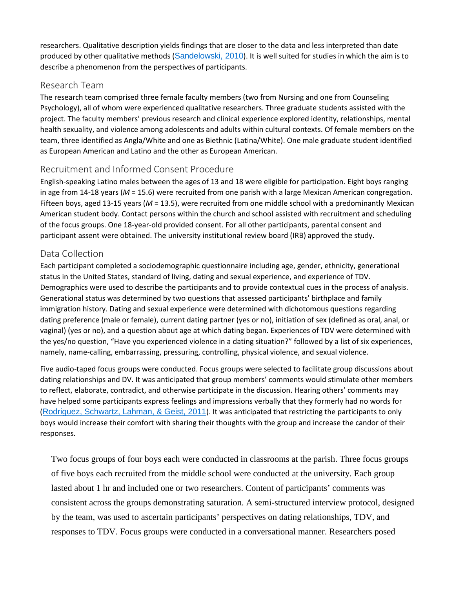researchers. Qualitative description yields findings that are closer to the data and less interpreted than date produced by other qualitative methods ([Sandelowski, 2010](https://journals.sagepub.com/doi/10.1177/1077801218808395)). It is well suited for studies in which the aim is to describe a phenomenon from the perspectives of participants.

#### Research Team

The research team comprised three female faculty members (two from Nursing and one from Counseling Psychology), all of whom were experienced qualitative researchers. Three graduate students assisted with the project. The faculty members' previous research and clinical experience explored identity, relationships, mental health sexuality, and violence among adolescents and adults within cultural contexts. Of female members on the team, three identified as Angla/White and one as Biethnic (Latina/White). One male graduate student identified as European American and Latino and the other as European American.

## Recruitment and Informed Consent Procedure

English-speaking Latino males between the ages of 13 and 18 were eligible for participation. Eight boys ranging in age from 14-18 years (*M* = 15.6) were recruited from one parish with a large Mexican American congregation. Fifteen boys, aged 13-15 years (*M* = 13.5), were recruited from one middle school with a predominantly Mexican American student body. Contact persons within the church and school assisted with recruitment and scheduling of the focus groups. One 18-year-old provided consent. For all other participants, parental consent and participant assent were obtained. The university institutional review board (IRB) approved the study.

## Data Collection

Each participant completed a sociodemographic questionnaire including age, gender, ethnicity, generational status in the United States, standard of living, dating and sexual experience, and experience of TDV. Demographics were used to describe the participants and to provide contextual cues in the process of analysis. Generational status was determined by two questions that assessed participants' birthplace and family immigration history. Dating and sexual experience were determined with dichotomous questions regarding dating preference (male or female), current dating partner (yes or no), initiation of sex (defined as oral, anal, or vaginal) (yes or no), and a question about age at which dating began. Experiences of TDV were determined with the yes/no question, "Have you experienced violence in a dating situation?" followed by a list of six experiences, namely, name-calling, embarrassing, pressuring, controlling, physical violence, and sexual violence.

Five audio-taped focus groups were conducted. Focus groups were selected to facilitate group discussions about dating relationships and DV. It was anticipated that group members' comments would stimulate other members to reflect, elaborate, contradict, and otherwise participate in the discussion. Hearing others' comments may have helped some participants express feelings and impressions verbally that they formerly had no words for ([Rodriguez, Schwartz, Lahman, & Geist, 2011](https://journals.sagepub.com/doi/10.1177/1077801218808395)). It was anticipated that restricting the participants to only boys would increase their comfort with sharing their thoughts with the group and increase the candor of their responses.

Two focus groups of four boys each were conducted in classrooms at the parish. Three focus groups of five boys each recruited from the middle school were conducted at the university. Each group lasted about 1 hr and included one or two researchers. Content of participants' comments was consistent across the groups demonstrating saturation. A semi-structured interview protocol, designed by the team, was used to ascertain participants' perspectives on dating relationships, TDV, and responses to TDV. Focus groups were conducted in a conversational manner. Researchers posed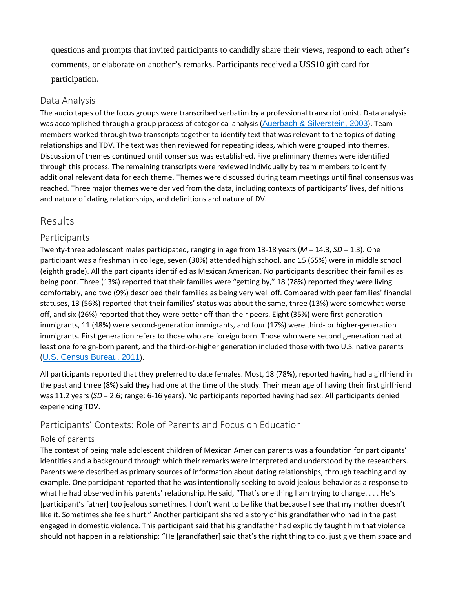questions and prompts that invited participants to candidly share their views, respond to each other's comments, or elaborate on another's remarks. Participants received a US\$10 gift card for participation.

#### Data Analysis

The audio tapes of the focus groups were transcribed verbatim by a professional transcriptionist. Data analysis was accomplished through a group process of categorical analysis ([Auerbach & Silverstein, 2003](https://journals.sagepub.com/doi/10.1177/1077801218808395)). Team members worked through two transcripts together to identify text that was relevant to the topics of dating relationships and TDV. The text was then reviewed for repeating ideas, which were grouped into themes. Discussion of themes continued until consensus was established. Five preliminary themes were identified through this process. The remaining transcripts were reviewed individually by team members to identify additional relevant data for each theme. Themes were discussed during team meetings until final consensus was reached. Three major themes were derived from the data, including contexts of participants' lives, definitions and nature of dating relationships, and definitions and nature of DV.

## Results

## Participants

Twenty-three adolescent males participated, ranging in age from 13-18 years (*M* = 14.3, *SD* = 1.3). One participant was a freshman in college, seven (30%) attended high school, and 15 (65%) were in middle school (eighth grade). All the participants identified as Mexican American. No participants described their families as being poor. Three (13%) reported that their families were "getting by," 18 (78%) reported they were living comfortably, and two (9%) described their families as being very well off. Compared with peer families' financial statuses, 13 (56%) reported that their families' status was about the same, three (13%) were somewhat worse off, and six (26%) reported that they were better off than their peers. Eight (35%) were first-generation immigrants, 11 (48%) were second-generation immigrants, and four (17%) were third- or higher-generation immigrants. First generation refers to those who are foreign born. Those who were second generation had at least one foreign-born parent, and the third-or-higher generation included those with two U.S. native parents ([U.S. Census Bureau, 2011](https://journals.sagepub.com/doi/10.1177/1077801218808395)).

All participants reported that they preferred to date females. Most, 18 (78%), reported having had a girlfriend in the past and three (8%) said they had one at the time of the study. Their mean age of having their first girlfriend was 11.2 years (*SD* = 2.6; range: 6-16 years). No participants reported having had sex. All participants denied experiencing TDV.

## Participants' Contexts: Role of Parents and Focus on Education

#### Role of parents

The context of being male adolescent children of Mexican American parents was a foundation for participants' identities and a background through which their remarks were interpreted and understood by the researchers. Parents were described as primary sources of information about dating relationships, through teaching and by example. One participant reported that he was intentionally seeking to avoid jealous behavior as a response to what he had observed in his parents' relationship. He said, "That's one thing I am trying to change. . . . He's [participant's father] too jealous sometimes. I don't want to be like that because I see that my mother doesn't like it. Sometimes she feels hurt." Another participant shared a story of his grandfather who had in the past engaged in domestic violence. This participant said that his grandfather had explicitly taught him that violence should not happen in a relationship: "He [grandfather] said that's the right thing to do, just give them space and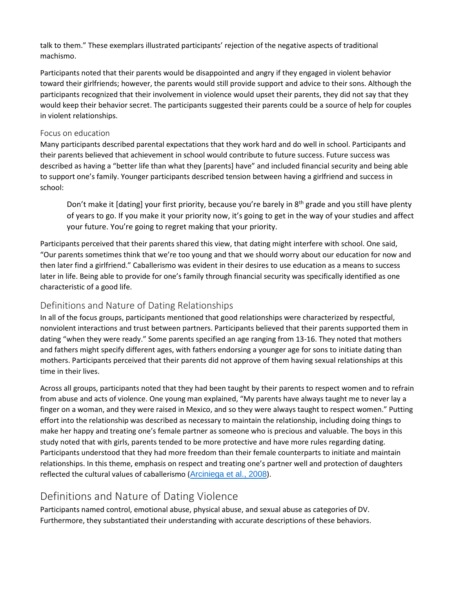talk to them." These exemplars illustrated participants' rejection of the negative aspects of traditional machismo.

Participants noted that their parents would be disappointed and angry if they engaged in violent behavior toward their girlfriends; however, the parents would still provide support and advice to their sons. Although the participants recognized that their involvement in violence would upset their parents, they did not say that they would keep their behavior secret. The participants suggested their parents could be a source of help for couples in violent relationships.

#### Focus on education

Many participants described parental expectations that they work hard and do well in school. Participants and their parents believed that achievement in school would contribute to future success. Future success was described as having a "better life than what they [parents] have" and included financial security and being able to support one's family. Younger participants described tension between having a girlfriend and success in school:

Don't make it [dating] your first priority, because you're barely in 8<sup>th</sup> grade and you still have plenty of years to go. If you make it your priority now, it's going to get in the way of your studies and affect your future. You're going to regret making that your priority.

Participants perceived that their parents shared this view, that dating might interfere with school. One said, "Our parents sometimes think that we're too young and that we should worry about our education for now and then later find a girlfriend." Caballerismo was evident in their desires to use education as a means to success later in life. Being able to provide for one's family through financial security was specifically identified as one characteristic of a good life.

#### Definitions and Nature of Dating Relationships

In all of the focus groups, participants mentioned that good relationships were characterized by respectful, nonviolent interactions and trust between partners. Participants believed that their parents supported them in dating "when they were ready." Some parents specified an age ranging from 13-16. They noted that mothers and fathers might specify different ages, with fathers endorsing a younger age for sons to initiate dating than mothers. Participants perceived that their parents did not approve of them having sexual relationships at this time in their lives.

Across all groups, participants noted that they had been taught by their parents to respect women and to refrain from abuse and acts of violence. One young man explained, "My parents have always taught me to never lay a finger on a woman, and they were raised in Mexico, and so they were always taught to respect women." Putting effort into the relationship was described as necessary to maintain the relationship, including doing things to make her happy and treating one's female partner as someone who is precious and valuable. The boys in this study noted that with girls, parents tended to be more protective and have more rules regarding dating. Participants understood that they had more freedom than their female counterparts to initiate and maintain relationships. In this theme, emphasis on respect and treating one's partner well and protection of daughters reflected the cultural values of caballerismo ([Arciniega et al., 2008](https://journals.sagepub.com/doi/10.1177/1077801218808395)).

# Definitions and Nature of Dating Violence

Participants named control, emotional abuse, physical abuse, and sexual abuse as categories of DV. Furthermore, they substantiated their understanding with accurate descriptions of these behaviors.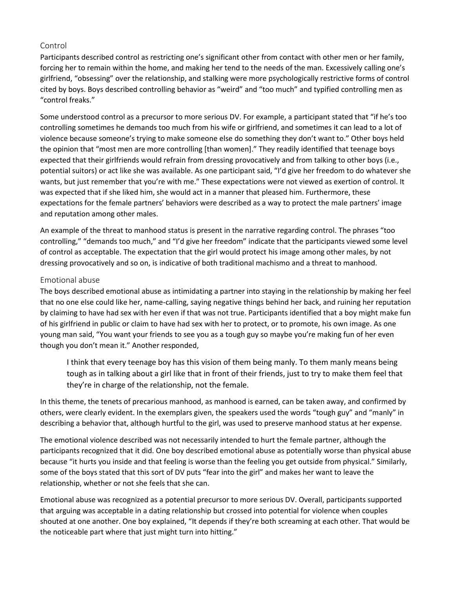#### Control

Participants described control as restricting one's significant other from contact with other men or her family, forcing her to remain within the home, and making her tend to the needs of the man. Excessively calling one's girlfriend, "obsessing" over the relationship, and stalking were more psychologically restrictive forms of control cited by boys. Boys described controlling behavior as "weird" and "too much" and typified controlling men as "control freaks."

Some understood control as a precursor to more serious DV. For example, a participant stated that "if he's too controlling sometimes he demands too much from his wife or girlfriend, and sometimes it can lead to a lot of violence because someone's trying to make someone else do something they don't want to." Other boys held the opinion that "most men are more controlling [than women]." They readily identified that teenage boys expected that their girlfriends would refrain from dressing provocatively and from talking to other boys (i.e., potential suitors) or act like she was available. As one participant said, "I'd give her freedom to do whatever she wants, but just remember that you're with me." These expectations were not viewed as exertion of control. It was expected that if she liked him, she would act in a manner that pleased him. Furthermore, these expectations for the female partners' behaviors were described as a way to protect the male partners' image and reputation among other males.

An example of the threat to manhood status is present in the narrative regarding control. The phrases "too controlling," "demands too much," and "I'd give her freedom" indicate that the participants viewed some level of control as acceptable. The expectation that the girl would protect his image among other males, by not dressing provocatively and so on, is indicative of both traditional machismo and a threat to manhood.

#### Emotional abuse

The boys described emotional abuse as intimidating a partner into staying in the relationship by making her feel that no one else could like her, name-calling, saying negative things behind her back, and ruining her reputation by claiming to have had sex with her even if that was not true. Participants identified that a boy might make fun of his girlfriend in public or claim to have had sex with her to protect, or to promote, his own image. As one young man said, "You want your friends to see you as a tough guy so maybe you're making fun of her even though you don't mean it." Another responded,

I think that every teenage boy has this vision of them being manly. To them manly means being tough as in talking about a girl like that in front of their friends, just to try to make them feel that they're in charge of the relationship, not the female.

In this theme, the tenets of precarious manhood, as manhood is earned, can be taken away, and confirmed by others, were clearly evident. In the exemplars given, the speakers used the words "tough guy" and "manly" in describing a behavior that, although hurtful to the girl, was used to preserve manhood status at her expense.

The emotional violence described was not necessarily intended to hurt the female partner, although the participants recognized that it did. One boy described emotional abuse as potentially worse than physical abuse because "it hurts you inside and that feeling is worse than the feeling you get outside from physical." Similarly, some of the boys stated that this sort of DV puts "fear into the girl" and makes her want to leave the relationship, whether or not she feels that she can.

Emotional abuse was recognized as a potential precursor to more serious DV. Overall, participants supported that arguing was acceptable in a dating relationship but crossed into potential for violence when couples shouted at one another. One boy explained, "It depends if they're both screaming at each other. That would be the noticeable part where that just might turn into hitting."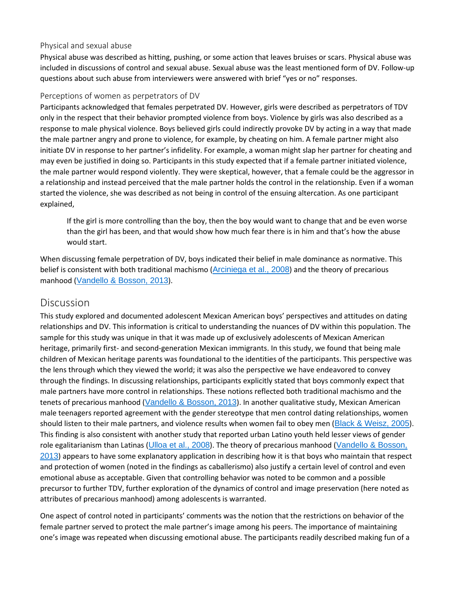#### Physical and sexual abuse

Physical abuse was described as hitting, pushing, or some action that leaves bruises or scars. Physical abuse was included in discussions of control and sexual abuse. Sexual abuse was the least mentioned form of DV. Follow-up questions about such abuse from interviewers were answered with brief "yes or no" responses.

#### Perceptions of women as perpetrators of DV

Participants acknowledged that females perpetrated DV. However, girls were described as perpetrators of TDV only in the respect that their behavior prompted violence from boys. Violence by girls was also described as a response to male physical violence. Boys believed girls could indirectly provoke DV by acting in a way that made the male partner angry and prone to violence, for example, by cheating on him. A female partner might also initiate DV in response to her partner's infidelity. For example, a woman might slap her partner for cheating and may even be justified in doing so. Participants in this study expected that if a female partner initiated violence, the male partner would respond violently. They were skeptical, however, that a female could be the aggressor in a relationship and instead perceived that the male partner holds the control in the relationship. Even if a woman started the violence, she was described as not being in control of the ensuing altercation. As one participant explained,

If the girl is more controlling than the boy, then the boy would want to change that and be even worse than the girl has been, and that would show how much fear there is in him and that's how the abuse would start.

When discussing female perpetration of DV, boys indicated their belief in male dominance as normative. This belief is consistent with both traditional machismo ([Arciniega et al., 2008](https://journals.sagepub.com/doi/10.1177/1077801218808395)) and the theory of precarious manhood ([Vandello & Bosson, 2013](https://journals.sagepub.com/doi/10.1177/1077801218808395)).

## **Discussion**

This study explored and documented adolescent Mexican American boys' perspectives and attitudes on dating relationships and DV. This information is critical to understanding the nuances of DV within this population. The sample for this study was unique in that it was made up of exclusively adolescents of Mexican American heritage, primarily first- and second-generation Mexican immigrants. In this study, we found that being male children of Mexican heritage parents was foundational to the identities of the participants. This perspective was the lens through which they viewed the world; it was also the perspective we have endeavored to convey through the findings. In discussing relationships, participants explicitly stated that boys commonly expect that male partners have more control in relationships. These notions reflected both traditional machismo and the tenets of precarious manhood ([Vandello & Bosson, 2013](https://journals.sagepub.com/doi/10.1177/1077801218808395)). In another qualitative study, Mexican American male teenagers reported agreement with the gender stereotype that men control dating relationships, women should listen to their male partners, and violence results when women fail to obey men ([Black & Weisz, 2005](https://journals.sagepub.com/doi/10.1177/1077801218808395)). This finding is also consistent with another study that reported urban Latino youth held lesser views of gender role egalitarianism than Latinas ([Ulloa et al., 2008](https://journals.sagepub.com/doi/10.1177/1077801218808395)). The theory of precarious manhood (Vandello & Bosson, [2013](https://journals.sagepub.com/doi/10.1177/1077801218808395)) appears to have some explanatory application in describing how it is that boys who maintain that respect and protection of women (noted in the findings as caballerismo) also justify a certain level of control and even emotional abuse as acceptable. Given that controlling behavior was noted to be common and a possible precursor to further TDV, further exploration of the dynamics of control and image preservation (here noted as attributes of precarious manhood) among adolescents is warranted.

One aspect of control noted in participants' comments was the notion that the restrictions on behavior of the female partner served to protect the male partner's image among his peers. The importance of maintaining one's image was repeated when discussing emotional abuse. The participants readily described making fun of a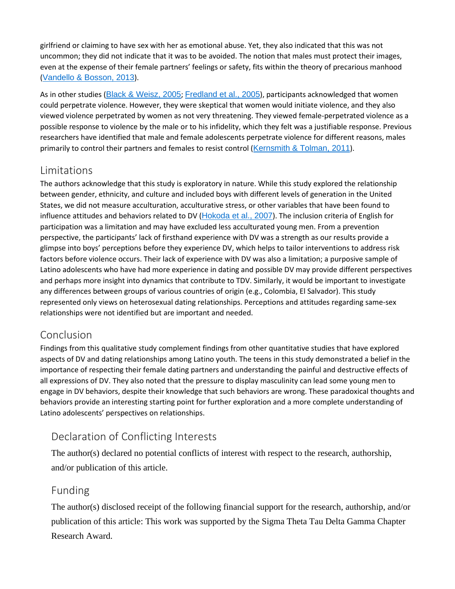girlfriend or claiming to have sex with her as emotional abuse. Yet, they also indicated that this was not uncommon; they did not indicate that it was to be avoided. The notion that males must protect their images, even at the expense of their female partners' feelings or safety, fits within the theory of precarious manhood ([Vandello & Bosson, 2013](https://journals.sagepub.com/doi/10.1177/1077801218808395)).

As in other studies ([Black & Weisz, 2005](https://journals.sagepub.com/doi/10.1177/1077801218808395); [Fredland et al., 2005](https://journals.sagepub.com/doi/10.1177/1077801218808395)), participants acknowledged that women could perpetrate violence. However, they were skeptical that women would initiate violence, and they also viewed violence perpetrated by women as not very threatening. They viewed female-perpetrated violence as a possible response to violence by the male or to his infidelity, which they felt was a justifiable response. Previous researchers have identified that male and female adolescents perpetrate violence for different reasons, males primarily to control their partners and females to resist control ([Kernsmith & Tolman, 2011](https://journals.sagepub.com/doi/10.1177/1077801218808395)).

# **Limitations**

The authors acknowledge that this study is exploratory in nature. While this study explored the relationship between gender, ethnicity, and culture and included boys with different levels of generation in the United States, we did not measure acculturation, acculturative stress, or other variables that have been found to influence attitudes and behaviors related to DV ([Hokoda et al., 2007](https://journals.sagepub.com/doi/10.1177/1077801218808395)). The inclusion criteria of English for participation was a limitation and may have excluded less acculturated young men. From a prevention perspective, the participants' lack of firsthand experience with DV was a strength as our results provide a glimpse into boys' perceptions before they experience DV, which helps to tailor interventions to address risk factors before violence occurs. Their lack of experience with DV was also a limitation; a purposive sample of Latino adolescents who have had more experience in dating and possible DV may provide different perspectives and perhaps more insight into dynamics that contribute to TDV. Similarly, it would be important to investigate any differences between groups of various countries of origin (e.g., Colombia, El Salvador). This study represented only views on heterosexual dating relationships. Perceptions and attitudes regarding same-sex relationships were not identified but are important and needed.

# Conclusion

Findings from this qualitative study complement findings from other quantitative studies that have explored aspects of DV and dating relationships among Latino youth. The teens in this study demonstrated a belief in the importance of respecting their female dating partners and understanding the painful and destructive effects of all expressions of DV. They also noted that the pressure to display masculinity can lead some young men to engage in DV behaviors, despite their knowledge that such behaviors are wrong. These paradoxical thoughts and behaviors provide an interesting starting point for further exploration and a more complete understanding of Latino adolescents' perspectives on relationships.

# Declaration of Conflicting Interests

The author(s) declared no potential conflicts of interest with respect to the research, authorship, and/or publication of this article.

## Funding

The author(s) disclosed receipt of the following financial support for the research, authorship, and/or publication of this article: This work was supported by the Sigma Theta Tau Delta Gamma Chapter Research Award.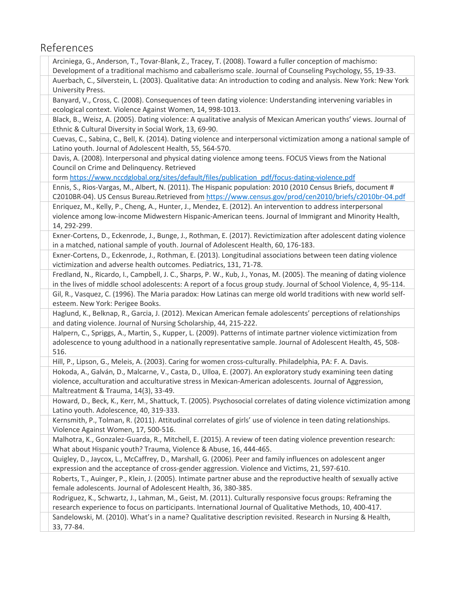# References

| Arciniega, G., Anderson, T., Tovar-Blank, Z., Tracey, T. (2008). Toward a fuller conception of machismo:                                                                                                                                                          |
|-------------------------------------------------------------------------------------------------------------------------------------------------------------------------------------------------------------------------------------------------------------------|
| Development of a traditional machismo and caballerismo scale. Journal of Counseling Psychology, 55, 19-33.                                                                                                                                                        |
| Auerbach, C., Silverstein, L. (2003). Qualitative data: An introduction to coding and analysis. New York: New York<br>University Press.                                                                                                                           |
| Banyard, V., Cross, C. (2008). Consequences of teen dating violence: Understanding intervening variables in<br>ecological context. Violence Against Women, 14, 998-1013.                                                                                          |
| Black, B., Weisz, A. (2005). Dating violence: A qualitative analysis of Mexican American youths' views. Journal of<br>Ethnic & Cultural Diversity in Social Work, 13, 69-90.                                                                                      |
| Cuevas, C., Sabina, C., Bell, K. (2014). Dating violence and interpersonal victimization among a national sample of<br>Latino youth. Journal of Adolescent Health, 55, 564-570.                                                                                   |
| Davis, A. (2008). Interpersonal and physical dating violence among teens. FOCUS Views from the National<br>Council on Crime and Delinquency. Retrieved                                                                                                            |
| form https://www.nccdglobal.org/sites/default/files/publication pdf/focus-dating-violence.pdf                                                                                                                                                                     |
| Ennis, S., Rios-Vargas, M., Albert, N. (2011). The Hispanic population: 2010 (2010 Census Briefs, document #<br>C2010BR-04). US Census Bureau.Retrieved from https://www.census.gov/prod/cen2010/briefs/c2010br-04.pdf                                            |
| Enriquez, M., Kelly, P., Cheng, A., Hunter, J., Mendez, E. (2012). An intervention to address interpersonal<br>violence among low-income Midwestern Hispanic-American teens. Journal of Immigrant and Minority Health,<br>14, 292-299.                            |
| Exner-Cortens, D., Eckenrode, J., Bunge, J., Rothman, E. (2017). Revictimization after adolescent dating violence<br>in a matched, national sample of youth. Journal of Adolescent Health, 60, 176-183.                                                           |
| Exner-Cortens, D., Eckenrode, J., Rothman, E. (2013). Longitudinal associations between teen dating violence<br>victimization and adverse health outcomes. Pediatrics, 131, 71-78.                                                                                |
| Fredland, N., Ricardo, I., Campbell, J. C., Sharps, P. W., Kub, J., Yonas, M. (2005). The meaning of dating violence<br>in the lives of middle school adolescents: A report of a focus group study. Journal of School Violence, 4, 95-114.                        |
| Gil, R., Vasquez, C. (1996). The Maria paradox: How Latinas can merge old world traditions with new world self-<br>esteem. New York: Perigee Books.                                                                                                               |
| Haglund, K., Belknap, R., Garcia, J. (2012). Mexican American female adolescents' perceptions of relationships<br>and dating violence. Journal of Nursing Scholarship, 44, 215-222.                                                                               |
| Halpern, C., Spriggs, A., Martin, S., Kupper, L. (2009). Patterns of intimate partner violence victimization from<br>adolescence to young adulthood in a nationally representative sample. Journal of Adolescent Health, 45, 508-<br>516.                         |
| Hill, P., Lipson, G., Meleis, A. (2003). Caring for women cross-culturally. Philadelphia, PA: F. A. Davis.                                                                                                                                                        |
| Hokoda, A., Galván, D., Malcarne, V., Casta, D., Ulloa, E. (2007). An exploratory study examining teen dating<br>violence, acculturation and acculturative stress in Mexican-American adolescents. Journal of Aggression,<br>Maltreatment & Trauma, 14(3), 33-49. |
| Howard, D., Beck, K., Kerr, M., Shattuck, T. (2005). Psychosocial correlates of dating violence victimization among<br>Latino youth. Adolescence, 40, 319-333.                                                                                                    |
| Kernsmith, P., Tolman, R. (2011). Attitudinal correlates of girls' use of violence in teen dating relationships.<br>Violence Against Women, 17, 500-516.                                                                                                          |
| Malhotra, K., Gonzalez-Guarda, R., Mitchell, E. (2015). A review of teen dating violence prevention research:<br>What about Hispanic youth? Trauma, Violence & Abuse, 16, 444-465.                                                                                |
| Quigley, D., Jaycox, L., McCaffrey, D., Marshall, G. (2006). Peer and family influences on adolescent anger<br>expression and the acceptance of cross-gender aggression. Violence and Victims, 21, 597-610.                                                       |
| Roberts, T., Auinger, P., Klein, J. (2005). Intimate partner abuse and the reproductive health of sexually active<br>female adolescents. Journal of Adolescent Health, 36, 380-385.                                                                               |
| Rodriguez, K., Schwartz, J., Lahman, M., Geist, M. (2011). Culturally responsive focus groups: Reframing the<br>research experience to focus on participants. International Journal of Qualitative Methods, 10, 400-417.                                          |
| Sandelowski, M. (2010). What's in a name? Qualitative description revisited. Research in Nursing & Health,<br>33, 77-84.                                                                                                                                          |